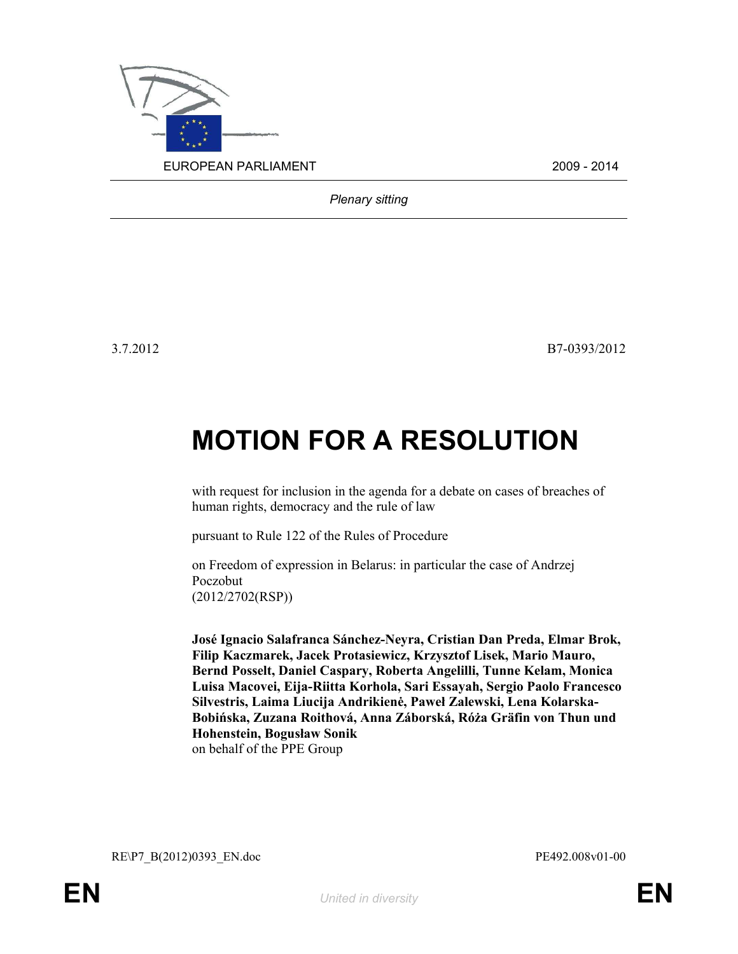

Plenary sitting

3.7.2012 B7-0393/2012

## MOTION FOR A RESOLUTION

with request for inclusion in the agenda for a debate on cases of breaches of human rights, democracy and the rule of law

pursuant to Rule 122 of the Rules of Procedure

on Freedom of expression in Belarus: in particular the case of Andrzej Poczobut (2012/2702(RSP))

José Ignacio Salafranca Sánchez-Neyra, Cristian Dan Preda, Elmar Brok, Filip Kaczmarek, Jacek Protasiewicz, Krzysztof Lisek, Mario Mauro, Bernd Posselt, Daniel Caspary, Roberta Angelilli, Tunne Kelam, Monica Luisa Macovei, Eija-Riitta Korhola, Sari Essayah, Sergio Paolo Francesco Silvestris, Laima Liucija Andrikienė, Paweł Zalewski, Lena Kolarska-Bobińska, Zuzana Roithová, Anna Záborská, Róża Gräfin von Thun und Hohenstein, Bogusław Sonik on behalf of the PPE Group

RE\P7\_B(2012)0393\_EN.doc PE492.008v01-00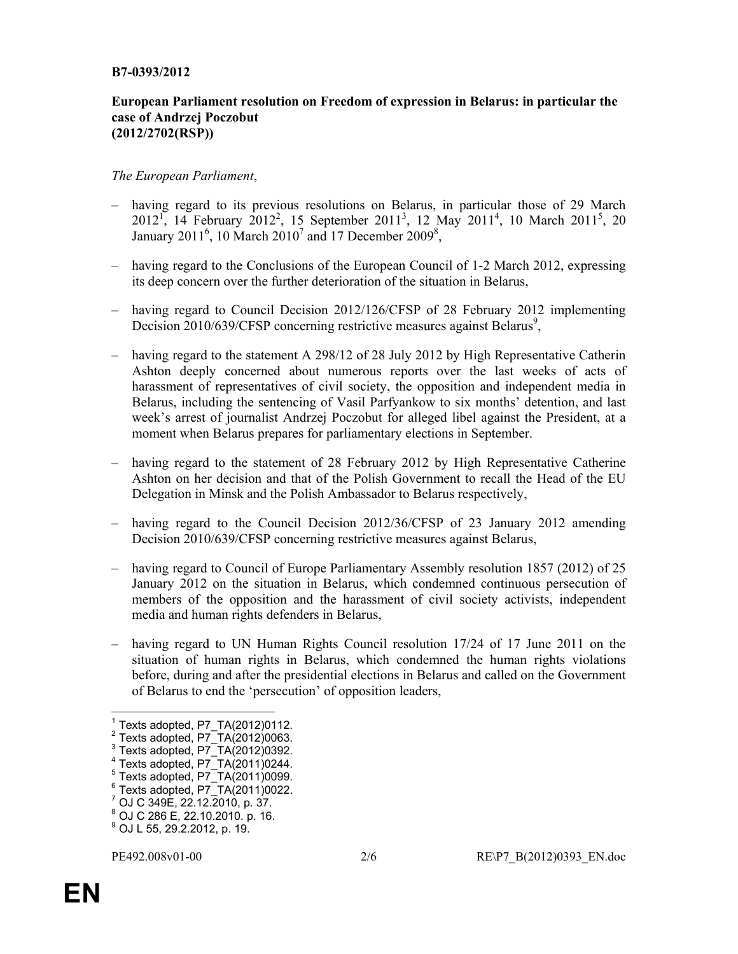## B7-0393/2012

## European Parliament resolution on Freedom of expression in Belarus: in particular the case of Andrzej Poczobut (2012/2702(RSP))

## The European Parliament,

- having regard to its previous resolutions on Belarus, in particular those of 29 March  $2012^{1}$ , 14 February  $2012^{2}$ , 15 September  $2011^{3}$ , 12 May  $2011^{4}$ , 10 March  $2011^{5}$ , 20 January 2011<sup>6</sup>, 10 March 2010<sup>7</sup> and 17 December 2009<sup>8</sup>,
- having regard to the Conclusions of the European Council of 1-2 March 2012, expressing its deep concern over the further deterioration of the situation in Belarus,
- having regard to Council Decision 2012/126/CFSP of 28 February 2012 implementing Decision 2010/639/CFSP concerning restrictive measures against Belarus<sup>9</sup>,
- having regard to the statement A 298/12 of 28 July 2012 by High Representative Catherin Ashton deeply concerned about numerous reports over the last weeks of acts of harassment of representatives of civil society, the opposition and independent media in Belarus, including the sentencing of Vasil Parfyankow to six months' detention, and last week's arrest of journalist Andrzej Poczobut for alleged libel against the President, at a moment when Belarus prepares for parliamentary elections in September.
- having regard to the statement of 28 February 2012 by High Representative Catherine Ashton on her decision and that of the Polish Government to recall the Head of the EU Delegation in Minsk and the Polish Ambassador to Belarus respectively,
- having regard to the Council Decision 2012/36/CFSP of 23 January 2012 amending Decision 2010/639/CFSP concerning restrictive measures against Belarus,
- having regard to Council of Europe Parliamentary Assembly resolution 1857 (2012) of 25 January 2012 on the situation in Belarus, which condemned continuous persecution of members of the opposition and the harassment of civil society activists, independent media and human rights defenders in Belarus,
- having regard to UN Human Rights Council resolution 17/24 of 17 June 2011 on the situation of human rights in Belarus, which condemned the human rights violations before, during and after the presidential elections in Belarus and called on the Government of Belarus to end the 'persecution' of opposition leaders,

- 
- $\frac{7}{1}$  OJ C 349E, 22.12.2010, p. 37.
- 8 OJ C 286 E, 22.10.2010. p. 16.

<sup>1&</sup>lt;br>
<sup>1</sup> Texts adopted, P7\_TA(2012)0063.<br>
<sup>3</sup> Texts adopted, P7\_TA(2012)0392.<br>
<sup>4</sup> Texts adopted, P7\_TA(2011)0244.<br>
<sup>5</sup> Texts adopted, P7\_TA(2011)0099.<br>
<sup>6</sup> Texts adopted, P7\_TA(2011)0022.

<sup>9</sup> OJ L 55, 29.2.2012, p. 19.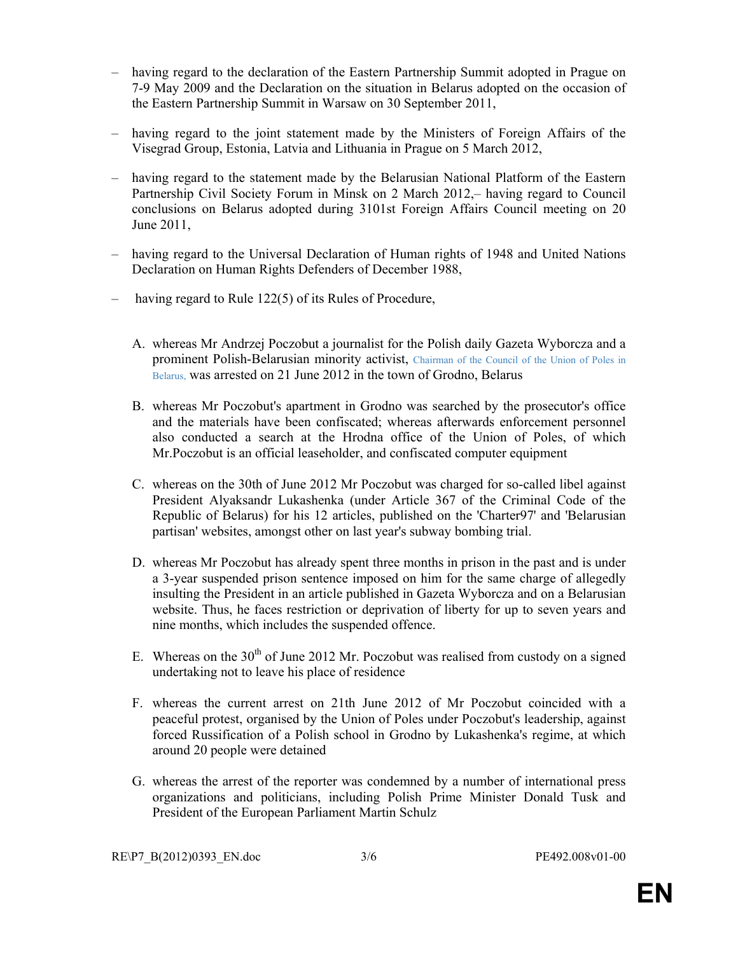- having regard to the declaration of the Eastern Partnership Summit adopted in Prague on 7-9 May 2009 and the Declaration on the situation in Belarus adopted on the occasion of the Eastern Partnership Summit in Warsaw on 30 September 2011,
- having regard to the joint statement made by the Ministers of Foreign Affairs of the Visegrad Group, Estonia, Latvia and Lithuania in Prague on 5 March 2012,
- having regard to the statement made by the Belarusian National Platform of the Eastern Partnership Civil Society Forum in Minsk on 2 March 2012,– having regard to Council conclusions on Belarus adopted during 3101st Foreign Affairs Council meeting on 20 June 2011,
- having regard to the Universal Declaration of Human rights of 1948 and United Nations Declaration on Human Rights Defenders of December 1988,
- having regard to Rule 122(5) of its Rules of Procedure,
	- A. whereas Mr Andrzej Poczobut a journalist for the Polish daily Gazeta Wyborcza and a prominent Polish-Belarusian minority activist, Chairman of the Council of the Union of Poles in Belarus, was arrested on 21 June 2012 in the town of Grodno, Belarus
	- B. whereas Mr Poczobut's apartment in Grodno was searched by the prosecutor's office and the materials have been confiscated; whereas afterwards enforcement personnel also conducted a search at the Hrodna office of the Union of Poles, of which Mr.Poczobut is an official leaseholder, and confiscated computer equipment
	- C. whereas on the 30th of June 2012 Mr Poczobut was charged for so-called libel against President Alyaksandr Lukashenka (under Article 367 of the Criminal Code of the Republic of Belarus) for his 12 articles, published on the 'Charter97' and 'Belarusian partisan' websites, amongst other on last year's subway bombing trial.
	- D. whereas Mr Poczobut has already spent three months in prison in the past and is under a 3-year suspended prison sentence imposed on him for the same charge of allegedly insulting the President in an article published in Gazeta Wyborcza and on a Belarusian website. Thus, he faces restriction or deprivation of liberty for up to seven years and nine months, which includes the suspended offence.
	- E. Whereas on the  $30<sup>th</sup>$  of June 2012 Mr. Poczobut was realised from custody on a signed undertaking not to leave his place of residence
	- F. whereas the current arrest on 21th June 2012 of Mr Poczobut coincided with a peaceful protest, organised by the Union of Poles under Poczobut's leadership, against forced Russification of a Polish school in Grodno by Lukashenka's regime, at which around 20 people were detained
	- G. whereas the arrest of the reporter was condemned by a number of international press organizations and politicians, including Polish Prime Minister Donald Tusk and President of the European Parliament Martin Schulz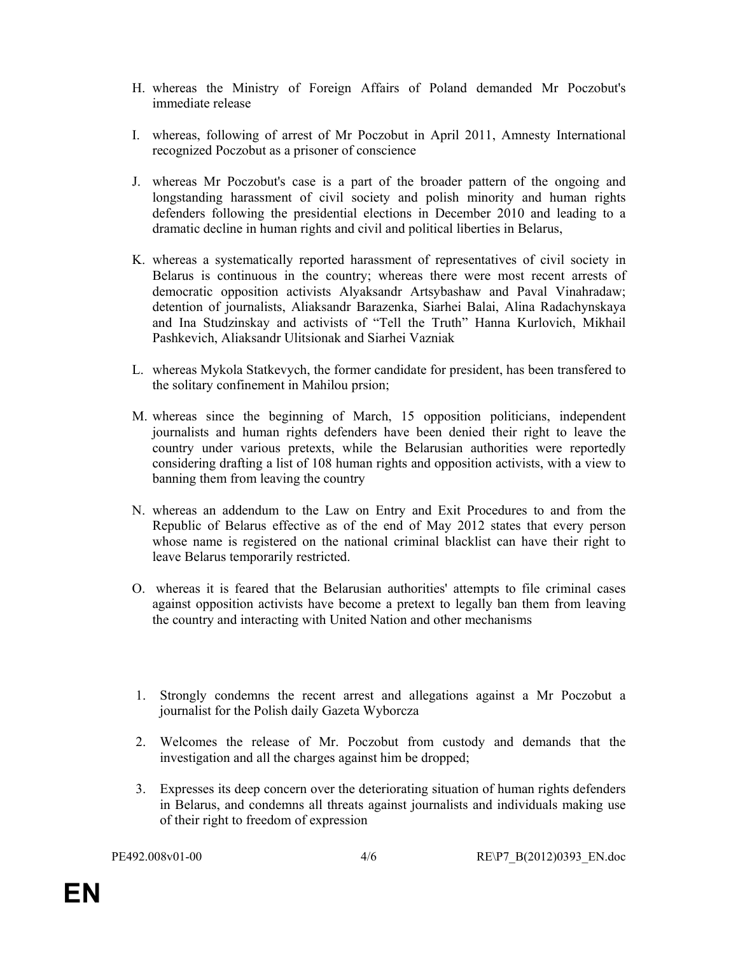- H. whereas the Ministry of Foreign Affairs of Poland demanded Mr Poczobut's immediate release
- I. whereas, following of arrest of Mr Poczobut in April 2011, Amnesty International recognized Poczobut as a prisoner of conscience
- J. whereas Mr Poczobut's case is a part of the broader pattern of the ongoing and longstanding harassment of civil society and polish minority and human rights defenders following the presidential elections in December 2010 and leading to a dramatic decline in human rights and civil and political liberties in Belarus,
- K. whereas a systematically reported harassment of representatives of civil society in Belarus is continuous in the country; whereas there were most recent arrests of democratic opposition activists Alyaksandr Artsybashaw and Paval Vinahradaw; detention of journalists, Aliaksandr Barazenka, Siarhei Balai, Alina Radachynskaya and Ina Studzinskay and activists of "Tell the Truth" Hanna Kurlovich, Mikhail Pashkevich, Aliaksandr Ulitsionak and Siarhei Vazniak
- L. whereas Mykola Statkevych, the former candidate for president, has been transfered to the solitary confinement in Mahilou prsion;
- M. whereas since the beginning of March, 15 opposition politicians, independent journalists and human rights defenders have been denied their right to leave the country under various pretexts, while the Belarusian authorities were reportedly considering drafting a list of 108 human rights and opposition activists, with a view to banning them from leaving the country
- N. whereas an addendum to the Law on Entry and Exit Procedures to and from the Republic of Belarus effective as of the end of May 2012 states that every person whose name is registered on the national criminal blacklist can have their right to leave Belarus temporarily restricted.
- O. whereas it is feared that the Belarusian authorities' attempts to file criminal cases against opposition activists have become a pretext to legally ban them from leaving the country and interacting with United Nation and other mechanisms
- 1. Strongly condemns the recent arrest and allegations against a Mr Poczobut a journalist for the Polish daily Gazeta Wyborcza
- 2. Welcomes the release of Mr. Poczobut from custody and demands that the investigation and all the charges against him be dropped;
- 3. Expresses its deep concern over the deteriorating situation of human rights defenders in Belarus, and condemns all threats against journalists and individuals making use of their right to freedom of expression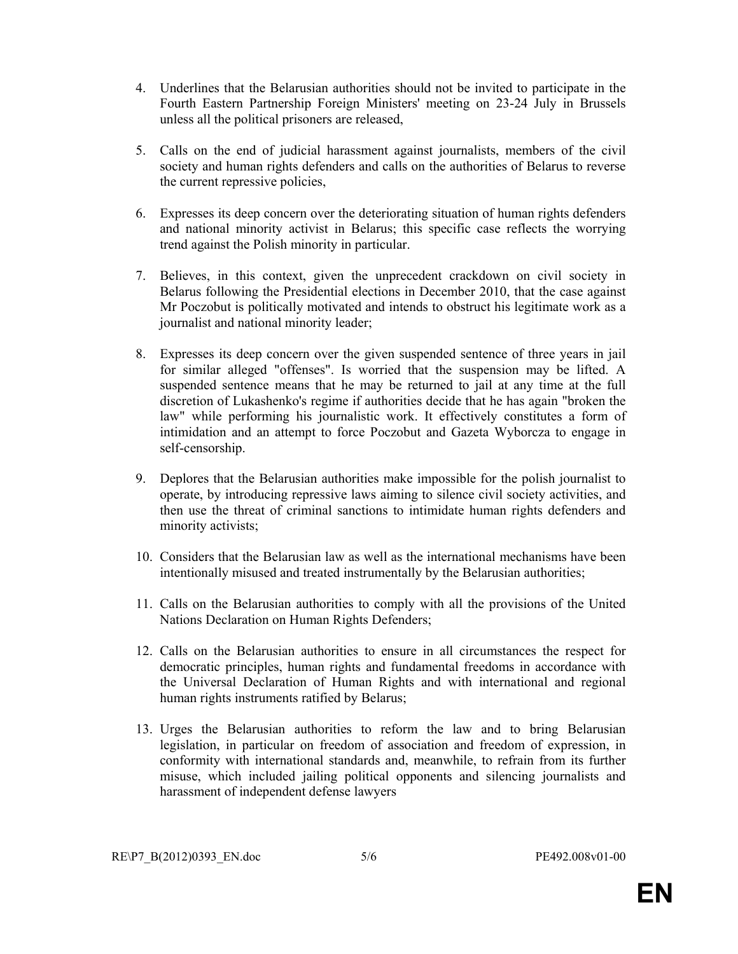- 4. Underlines that the Belarusian authorities should not be invited to participate in the Fourth Eastern Partnership Foreign Ministers' meeting on 23-24 July in Brussels unless all the political prisoners are released,
- 5. Calls on the end of judicial harassment against journalists, members of the civil society and human rights defenders and calls on the authorities of Belarus to reverse the current repressive policies,
- 6. Expresses its deep concern over the deteriorating situation of human rights defenders and national minority activist in Belarus; this specific case reflects the worrying trend against the Polish minority in particular.
- 7. Believes, in this context, given the unprecedent crackdown on civil society in Belarus following the Presidential elections in December 2010, that the case against Mr Poczobut is politically motivated and intends to obstruct his legitimate work as a journalist and national minority leader;
- 8. Expresses its deep concern over the given suspended sentence of three years in jail for similar alleged "offenses". Is worried that the suspension may be lifted. A suspended sentence means that he may be returned to jail at any time at the full discretion of Lukashenko's regime if authorities decide that he has again "broken the law" while performing his journalistic work. It effectively constitutes a form of intimidation and an attempt to force Poczobut and Gazeta Wyborcza to engage in self-censorship.
- 9. Deplores that the Belarusian authorities make impossible for the polish journalist to operate, by introducing repressive laws aiming to silence civil society activities, and then use the threat of criminal sanctions to intimidate human rights defenders and minority activists;
- 10. Considers that the Belarusian law as well as the international mechanisms have been intentionally misused and treated instrumentally by the Belarusian authorities;
- 11. Calls on the Belarusian authorities to comply with all the provisions of the United Nations Declaration on Human Rights Defenders;
- 12. Calls on the Belarusian authorities to ensure in all circumstances the respect for democratic principles, human rights and fundamental freedoms in accordance with the Universal Declaration of Human Rights and with international and regional human rights instruments ratified by Belarus;
- 13. Urges the Belarusian authorities to reform the law and to bring Belarusian legislation, in particular on freedom of association and freedom of expression, in conformity with international standards and, meanwhile, to refrain from its further misuse, which included jailing political opponents and silencing journalists and harassment of independent defense lawyers